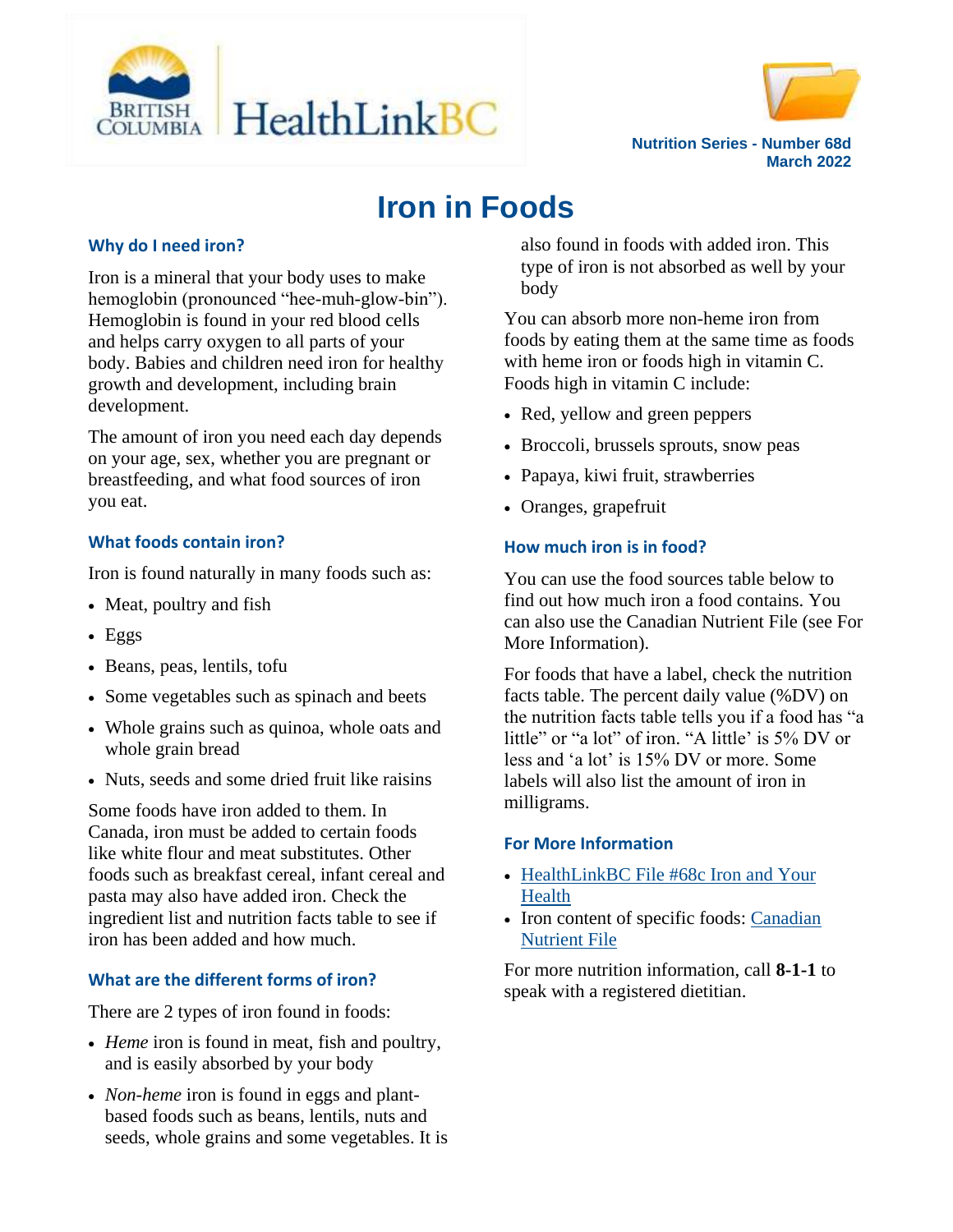



**Nutrition Series - Number 68d March 2022**

# **Iron in Foods**

#### **Why do I need iron?**

Iron is a mineral that your body uses to make hemoglobin (pronounced "hee-muh-glow-bin"). Hemoglobin is found in your red blood cells and helps carry oxygen to all parts of your body. Babies and children need iron for healthy growth and development, including brain development.

The amount of iron you need each day depends on your age, sex, whether you are pregnant or breastfeeding, and what food sources of iron you eat.

## **What foods contain iron?**

Iron is found naturally in many foods such as:

- Meat, poultry and fish
- $\cdot$  Eggs
- Beans, peas, lentils, tofu
- Some vegetables such as spinach and beets
- Whole grains such as quinoa, whole oats and whole grain bread
- Nuts, seeds and some dried fruit like raisins

Some foods have iron added to them. In Canada, iron must be added to certain foods like white flour and meat substitutes. Other foods such as breakfast cereal, infant cereal and pasta may also have added iron. Check the ingredient list and nutrition facts table to see if iron has been added and how much.

### **What are the different forms of iron?**

There are 2 types of iron found in foods:

- *Heme* iron is found in meat, fish and poultry, and is easily absorbed by your body
- *Non-heme* iron is found in eggs and plantbased foods such as beans, lentils, nuts and seeds, whole grains and some vegetables. It is

also found in foods with added iron. This type of iron is not absorbed as well by your body

You can absorb more non-heme iron from foods by eating them at the same time as foods with heme iron or foods high in vitamin C. Foods high in vitamin C include:

- Red, yellow and green peppers
- Broccoli, brussels sprouts, snow peas
- Papaya, kiwi fruit, strawberries
- Oranges, grapefruit

#### **How much iron is in food?**

You can use the food sources table below to find out how much iron a food contains. You can also use the Canadian Nutrient File (see For More Information).

For foods that have a label, check the nutrition facts table. The percent daily value (%DV) on the nutrition facts table tells you if a food has "a little" or "a lot" of iron. "A little' is 5% DV or less and 'a lot' is 15% DV or more. Some labels will also list the amount of iron in milligrams.

#### **For More Information**

- HealthLinkBC File #68c Iron and Your [Health](https://www.healthlinkbc.ca/healthy-eating-physical-activity/food-and-nutrition/nutrients/iron-and-your-health)
- Iron content of specific foods: Canadian [Nutrient File](https://food-nutrition.canada.ca/cnf-fce/index-eng.jsp)

For more nutrition information, call **8-1-1** to speak with a registered dietitian.